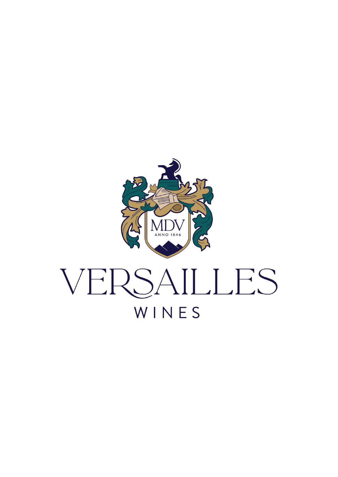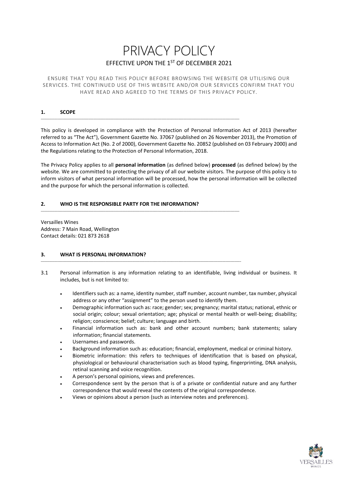# PRIVACY POLICY EFFECTIVE UPON THE 1ST OF DECEMBER 2021

ENSURE THAT YOU READ THIS POLICY BEFORE BROWSING THE WEBSITE OR UTILISING OUR SERVICES. THE CONTINUED USE OF THIS WEBSITE AND/OR OUR SERVICES CONFIRM THAT YOU HAVE READ AND AGREED TO THE TERMS OF THIS PRIVACY POLICY.

## **1. SCOPE**

This policy is developed in compliance with the Protection of Personal Information Act of 2013 (hereafter referred to as "The Act"), Government Gazette No. 37067 (published on 26 November 2013), the Promotion of Access to Information Act (No. 2 of 2000), Government Gazette No. 20852 (published on 03 February 2000) and the Regulations relating to the Protection of Personal Information, 2018.

\_\_\_\_\_\_\_\_\_\_\_\_\_\_\_\_\_\_\_\_\_\_\_\_\_\_\_\_\_\_\_\_\_\_\_\_\_\_\_\_\_\_\_\_\_\_\_\_\_\_\_\_\_\_\_\_\_\_\_\_\_\_\_\_\_\_\_\_\_\_\_\_\_\_\_\_\_\_\_\_\_\_\_\_\_\_\_\_\_\_\_\_\_\_\_\_\_\_\_\_\_\_\_\_\_\_\_\_\_\_\_\_\_\_\_\_\_

\_\_\_\_\_\_\_\_\_\_\_\_\_\_\_\_\_\_\_\_\_\_\_\_\_\_\_\_\_\_\_\_\_\_\_\_\_\_\_\_\_\_\_\_\_\_\_\_\_\_\_\_\_\_\_\_\_\_\_\_\_\_\_\_\_\_\_\_\_\_\_\_\_\_\_\_\_\_\_\_\_\_\_\_\_\_\_\_\_\_\_\_\_\_\_\_\_\_\_\_\_\_\_\_\_\_\_\_\_\_\_\_\_\_\_\_\_

\_\_\_\_\_\_\_\_\_\_\_\_\_\_\_\_\_\_\_\_\_\_\_\_\_\_\_\_\_\_\_\_\_\_\_\_\_\_\_\_\_\_\_\_\_\_\_\_\_\_\_\_\_\_\_\_\_\_\_\_\_\_\_\_\_\_\_\_\_\_\_\_\_\_\_\_\_\_\_\_\_\_\_\_\_\_\_\_\_\_\_\_\_\_\_\_\_\_\_\_\_\_\_\_\_\_\_\_\_\_\_\_\_\_\_\_\_\_

The Privacy Policy applies to all **personal information** (as defined below) **processed** (as defined below) by the website. We are committed to protecting the privacy of all our website visitors. The purpose of this policy is to inform visitors of what personal information will be processed, how the personal information will be collected and the purpose for which the personal information is collected.

# **2. WHO IS THE RESPONSIBLE PARTY FOR THE INFORMATION?**

Versailles Wines Address: 7 Main Road, Wellington Contact details: 021 873 2618

### **3. WHAT IS PERSONAL INFORMATION?**

- 3.1 Personal information is any information relating to an identifiable, living individual or business. It includes, but is not limited to:
	- Identifiers such as: a name, identity number, staff number, account number, tax number, physical address or any other "assignment" to the person used to identify them.
	- Demographic information such as: race; gender; sex; pregnancy; marital status; national, ethnic or social origin; colour; sexual orientation; age; physical or mental health or well-being; disability; religion; conscience; belief; culture; language and birth.
	- Financial information such as: bank and other account numbers; bank statements; salary information; financial statements.
	- Usernames and passwords.
	- Background information such as: education; financial, employment, medical or criminal history.
	- Biometric information: this refers to techniques of identification that is based on physical, physiological or behavioural characterisation such as blood typing, fingerprinting, DNA analysis, retinal scanning and voice recognition.
	- A person's personal opinions, views and preferences.
	- Correspondence sent by the person that is of a private or confidential nature and any further correspondence that would reveal the contents of the original correspondence.
	- Views or opinions about a person (such as interview notes and preferences).

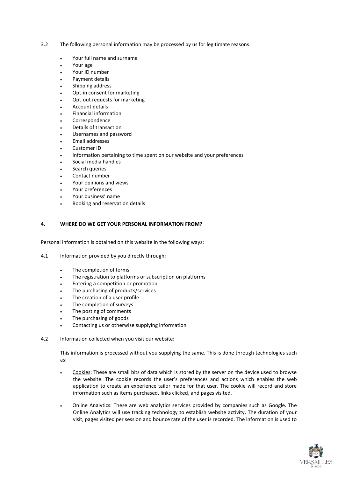- 3.2 The following personal information may be processed by us for legitimate reasons:
	- Your full name and surname
	- Your age
	- Your ID number
	- Payment details
	- Shipping address
	- Opt-in consent for marketing
	- Opt-out requests for marketing
	- Account details
	- Financial information
	- Correspondence
	- Details of transaction
	- Usernames and password
	- Email addresses
	- Customer ID
	- Information pertaining to time spent on our website and your preferences
	- Social media handles
	- Search queries
	- Contact number
	- Your opinions and views
	- Your preferences
	- Your business' name
	- Booking and reservation details

# **4. WHERE DO WE GET YOUR PERSONAL INFORMATION FROM?**

Personal information is obtained on this website in the following ways:

4.1 Information provided by you directly through:

- The completion of forms
- The registration to platforms or subscription on platforms

\_\_\_\_\_\_\_\_\_\_\_\_\_\_\_\_\_\_\_\_\_\_\_\_\_\_\_\_\_\_\_\_\_\_\_\_\_\_\_\_\_\_\_\_\_\_\_\_\_\_\_\_\_\_\_\_\_\_\_\_\_\_\_\_\_\_\_\_\_\_\_\_\_\_\_\_\_\_\_\_\_\_\_\_\_\_\_\_\_\_\_\_\_\_\_\_\_\_\_\_\_\_\_\_\_\_\_\_\_\_\_\_\_\_\_\_\_\_

- Entering a competition or promotion
- . The purchasing of products/services
- The creation of a user profile
- The completion of surveys
- The posting of comments
- The purchasing of goods
- Contacting us or otherwise supplying information
- 4.2 Information collected when you visit our website:

This information is processed without you supplying the same. This is done through technologies such as:

- Cookies: These are small bits of data which is stored by the server on the device used to browse the website. The cookie records the user's preferences and actions which enables the web application to create an experience tailor made for that user. The cookie will record and store information such as items purchased, links clicked, and pages visited.
- Online Analytics: These are web analytics services provided by companies such as Google. The Online Analytics will use tracking technology to establish website activity. The duration of your visit, pages visited per session and bounce rate of the user is recorded. The information is used to

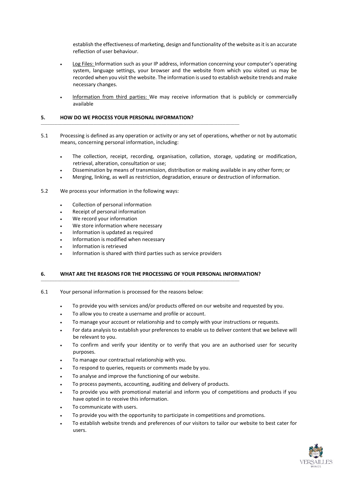establish the effectiveness of marketing, design and functionality of the website as it is an accurate reflection of user behaviour.

- Log Files: Information such as your IP address, information concerning your computer's operating system, language settings, your browser and the website from which you visited us may be recorded when you visit the website. The information is used to establish website trends and make necessary changes.
- Information from third parties: We may receive information that is publicly or commercially available

# **5. HOW DO WE PROCESS YOUR PERSONAL INFORMATION?**

\_\_\_\_\_\_\_\_\_\_\_\_\_\_\_\_\_\_\_\_\_\_\_\_\_\_\_\_\_\_\_\_\_\_\_\_\_\_\_\_\_\_\_\_\_\_\_\_\_\_\_\_\_\_\_\_\_\_\_\_\_\_\_\_\_\_\_\_\_\_\_\_\_\_\_\_\_\_\_\_\_\_\_\_\_\_\_\_\_\_\_\_\_\_\_\_\_\_\_\_\_\_\_\_\_\_\_\_\_\_\_\_\_\_\_\_\_

- 5.1 Processing is defined as any operation or activity or any set of operations, whether or not by automatic means, concerning personal information, including:
	- The collection, receipt, recording, organisation, collation, storage, updating or modification, retrieval, alteration, consultation or use;
	- Dissemination by means of transmission, distribution or making available in any other form; or
	- Merging, linking, as well as restriction, degradation, erasure or destruction of information.
- 5.2 We process your information in the following ways:
	- Collection of personal information
	- Receipt of personal information
	- We record your information
	- We store information where necessary
	- Information is updated as required
	- Information is modified when necessary
	- Information is retrieved
	- Information is shared with third parties such as service providers

\_\_\_\_\_\_\_\_\_\_\_\_\_\_\_\_\_\_\_\_\_\_\_\_\_\_\_\_\_\_\_\_\_\_\_\_\_\_\_\_\_\_\_\_\_\_\_\_\_\_\_\_\_\_\_\_\_\_\_\_\_\_\_\_\_\_\_\_\_\_\_\_\_\_\_\_\_\_\_\_\_\_\_\_\_\_\_\_\_\_\_\_\_\_\_\_\_\_\_\_\_\_\_\_\_\_\_\_\_\_\_\_\_\_\_\_\_

### **6. WHAT ARE THE REASONS FOR THE PROCESSING OF YOUR PERSONAL INFORMATION?**

- 6.1 Your personal information is processed for the reasons below:
	- To provide you with services and/or products offered on our website and requested by you.
	- To allow you to create a username and profile or account.
	- To manage your account or relationship and to comply with your instructions or requests.
	- For data analysis to establish your preferences to enable us to deliver content that we believe will be relevant to you.
	- To confirm and verify your identity or to verify that you are an authorised user for security purposes.
	- To manage our contractual relationship with you.
	- To respond to queries, requests or comments made by you.
	- To analyse and improve the functioning of our website.
	- To process payments, accounting, auditing and delivery of products.
	- To provide you with promotional material and inform you of competitions and products if you have opted in to receive this information.
	- To communicate with users.
	- To provide you with the opportunity to participate in competitions and promotions.
	- To establish website trends and preferences of our visitors to tailor our website to best cater for users.

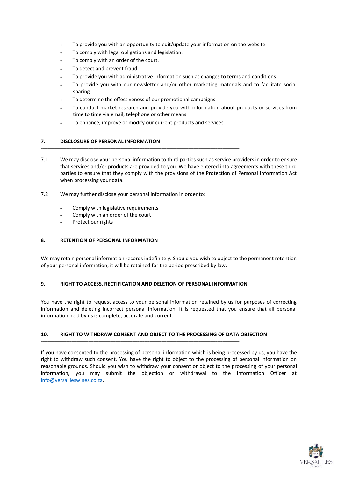- To provide you with an opportunity to edit/update your information on the website.
- To comply with legal obligations and legislation.
- To comply with an order of the court.
- To detect and prevent fraud.
- To provide you with administrative information such as changes to terms and conditions.
- To provide you with our newsletter and/or other marketing materials and to facilitate social sharing.
- To determine the effectiveness of our promotional campaigns.
- To conduct market research and provide you with information about products or services from time to time via email, telephone or other means.
- To enhance, improve or modify our current products and services.

\_\_\_\_\_\_\_\_\_\_\_\_\_\_\_\_\_\_\_\_\_\_\_\_\_\_\_\_\_\_\_\_\_\_\_\_\_\_\_\_\_\_\_\_\_\_\_\_\_\_\_\_\_\_\_\_\_\_\_\_\_\_\_\_\_\_\_\_\_\_\_\_\_\_\_\_\_\_\_\_\_\_\_\_\_\_\_\_\_\_\_\_\_\_\_\_\_\_\_\_\_\_\_\_\_\_\_\_\_\_\_\_\_\_\_\_\_

# **7. DISCLOSURE OF PERSONAL INFORMATION**

- 7.1 We may disclose your personal information to third parties such as service providers in order to ensure that services and/or products are provided to you. We have entered into agreements with these third parties to ensure that they comply with the provisions of the Protection of Personal Information Act when processing your data.
- 7.2 We may further disclose your personal information in order to:
	- Comply with legislative requirements
	- Comply with an order of the court
	- Protect our rights

# **8. RETENTION OF PERSONAL INFORMATION**

We may retain personal information records indefinitely. Should you wish to object to the permanent retention of your personal information, it will be retained for the period prescribed by law.

### **9. RIGHT TO ACCESS, RECTIFICATION AND DELETION OF PERSONAL INFORMATION**

\_\_\_\_\_\_\_\_\_\_\_\_\_\_\_\_\_\_\_\_\_\_\_\_\_\_\_\_\_\_\_\_\_\_\_\_\_\_\_\_\_\_\_\_\_\_\_\_\_\_\_\_\_\_\_\_\_\_\_\_\_\_\_\_\_\_\_\_\_\_\_\_\_\_\_\_\_\_\_\_\_\_\_\_\_\_\_\_\_\_\_\_\_\_\_\_\_\_\_\_\_\_\_\_\_\_\_\_\_\_\_\_\_\_\_\_\_

\_\_\_\_\_\_\_\_\_\_\_\_\_\_\_\_\_\_\_\_\_\_\_\_\_\_\_\_\_\_\_\_\_\_\_\_\_\_\_\_\_\_\_\_\_\_\_\_\_\_\_\_\_\_\_\_\_\_\_\_\_\_\_\_\_\_\_\_\_\_\_\_\_\_\_\_\_\_\_\_\_\_\_\_\_\_\_\_\_\_\_\_\_\_\_\_\_\_\_\_\_\_\_\_\_\_\_\_\_\_\_\_\_\_\_\_\_

\_\_\_\_\_\_\_\_\_\_\_\_\_\_\_\_\_\_\_\_\_\_\_\_\_\_\_\_\_\_\_\_\_\_\_\_\_\_\_\_\_\_\_\_\_\_\_\_\_\_\_\_\_\_\_\_\_\_\_\_\_\_\_\_\_\_\_\_\_\_\_\_\_\_\_\_\_\_\_\_\_\_\_\_\_\_\_\_\_\_\_\_\_\_\_\_\_\_\_\_\_\_\_\_\_\_\_\_\_\_\_\_\_\_\_\_\_

You have the right to request access to your personal information retained by us for purposes of correcting information and deleting incorrect personal information. It is requested that you ensure that all personal information held by us is complete, accurate and current.

### **10. RIGHT TO WITHDRAW CONSENT AND OBJECT TO THE PROCESSING OF DATA OBJECTION**

If you have consented to the processing of personal information which is being processed by us, you have the right to withdraw such consent. You have the right to object to the processing of personal information on reasonable grounds. Should you wish to withdraw your consent or object to the processing of your personal information, you may submit the objection or withdrawal to the Information Officer at [info@versailleswines.co.za.](mailto:info@versailleswines.co.za)